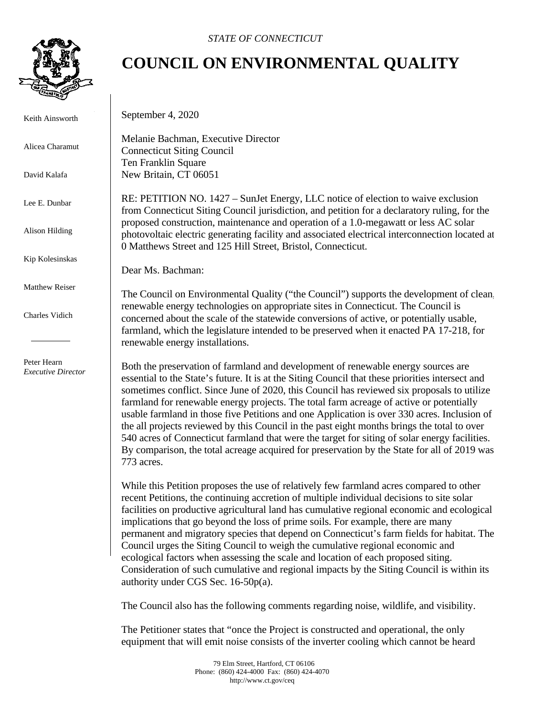

Keith Ainsworth

Alicea Charamut

David Kalafa

Lee E. Dunbar

Alison Hilding

Kip Kolesinskas

Matthew Reiser

Charles Vidich

 Peter Hearn *Executive Director*

## **COUNCIL ON ENVIRONMENTAL QUALITY**

September 4, 2020

Melanie Bachman, Executive Director Connecticut Siting Council Ten Franklin Square New Britain, CT 06051

RE: PETITION NO. 1427 – SunJet Energy, LLC notice of election to waive exclusion from Connecticut Siting Council jurisdiction, and petition for a declaratory ruling, for the proposed construction, maintenance and operation of a 1.0-megawatt or less AC solar photovoltaic electric generating facility and associated electrical interconnection located at 0 Matthews Street and 125 Hill Street, Bristol, Connecticut.

Dear Ms. Bachman:

The Council on Environmental Quality ("the Council") supports the development of clean, renewable energy technologies on appropriate sites in Connecticut. The Council is concerned about the scale of the statewide conversions of active, or potentially usable, farmland, which the legislature intended to be preserved when it enacted PA 17-218, for renewable energy installations.

Both the preservation of farmland and development of renewable energy sources are essential to the State's future. It is at the Siting Council that these priorities intersect and sometimes conflict. Since June of 2020, this Council has reviewed six proposals to utilize farmland for renewable energy projects. The total farm acreage of active or potentially usable farmland in those five Petitions and one Application is over 330 acres. Inclusion of the all projects reviewed by this Council in the past eight months brings the total to over 540 acres of Connecticut farmland that were the target for siting of solar energy facilities. By comparison, the total acreage acquired for preservation by the State for all of 2019 was 773 acres.

While this Petition proposes the use of relatively few farmland acres compared to other recent Petitions, the continuing accretion of multiple individual decisions to site solar facilities on productive agricultural land has cumulative regional economic and ecological implications that go beyond the loss of prime soils. For example, there are many permanent and migratory species that depend on Connecticut's farm fields for habitat. The Council urges the Siting Council to weigh the cumulative regional economic and ecological factors when assessing the scale and location of each proposed siting. Consideration of such cumulative and regional impacts by the Siting Council is within its authority under CGS Sec. 16-50p(a).

The Council also has the following comments regarding noise, wildlife, and visibility.

The Petitioner states that "once the Project is constructed and operational, the only equipment that will emit noise consists of the inverter cooling which cannot be heard